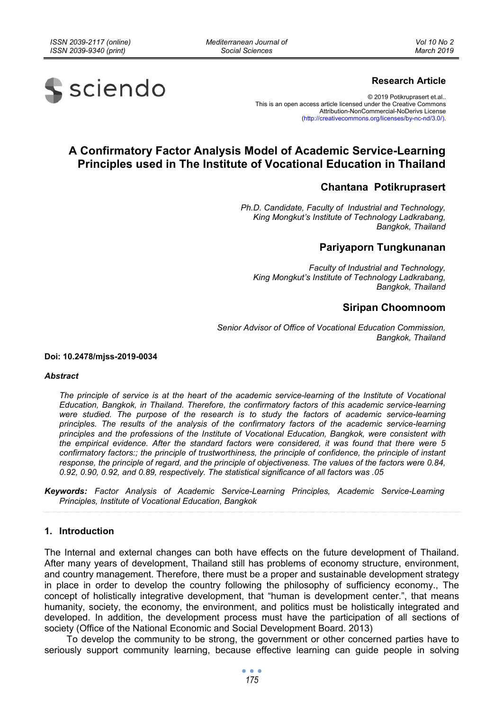*Mediterranean Journal of Social Sciences* 



# **Research Article**

© 2019 Potikruprasert et.al.. This is an open access article licensed under the Creative Commons Attribution-NonCommercial-NoDerivs License (http://creativecommons.org/licenses/by-nc-nd/3.0/).

# **A Confirmatory Factor Analysis Model of Academic Service-Learning Principles used in The Institute of Vocational Education in Thailand**

# **Chantana Potikruprasert**

*Ph.D. Candidate, Faculty of Industrial and Technology, King Mongkut's Institute of Technology Ladkrabang, Bangkok, Thailand* 

# **Pariyaporn Tungkunanan**

*Faculty of Industrial and Technology, King Mongkut's Institute of Technology Ladkrabang, Bangkok, Thailand* 

# **Siripan Choomnoom**

*Senior Advisor of Office of Vocational Education Commission, Bangkok, Thailand* 

#### **Doi: 10.2478/mjss-2019-0034**

#### *Abstract*

*The principle of service is at the heart of the academic service-learning of the Institute of Vocational Education, Bangkok, in Thailand. Therefore, the confirmatory factors of this academic service-learning were studied. The purpose of the research is to study the factors of academic service-learning principles. The results of the analysis of the confirmatory factors of the academic service-learning principles and the professions of the Institute of Vocational Education, Bangkok, were consistent with the empirical evidence. After the standard factors were considered, it was found that there were 5 confirmatory factors:; the principle of trustworthiness, the principle of confidence, the principle of instant response, the principle of regard, and the principle of objectiveness. The values of the factors were 0.84, 0.92, 0.90, 0.92, and 0.89, respectively. The statistical significance of all factors was .05* 

*Keywords: Factor Analysis of Academic Service-Learning Principles, Academic Service-Learning Principles, Institute of Vocational Education, Bangkok* 

## **1. Introduction**

The Internal and external changes can both have effects on the future development of Thailand. After many years of development, Thailand still has problems of economy structure, environment, and country management. Therefore, there must be a proper and sustainable development strategy in place in order to develop the country following the philosophy of sufficiency economy., The concept of holistically integrative development, that "human is development center.", that means humanity, society, the economy, the environment, and politics must be holistically integrated and developed. In addition, the development process must have the participation of all sections of society (Office of the National Economic and Social Development Board. 2013)

To develop the community to be strong, the government or other concerned parties have to seriously support community learning, because effective learning can guide people in solving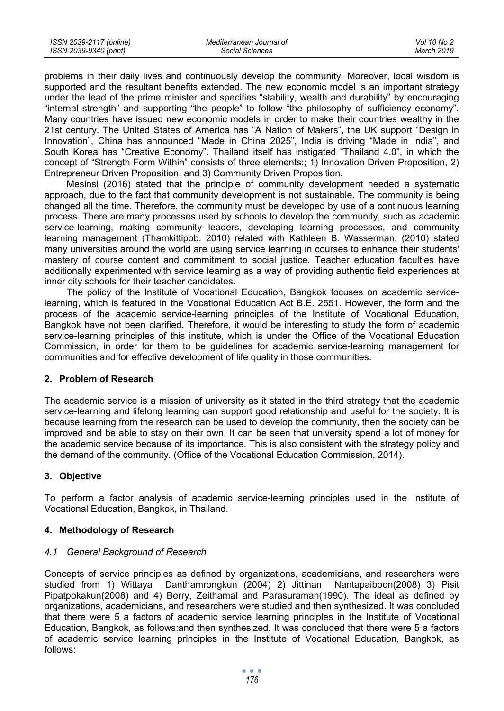| ISSN 2039-2117 (online) | Mediterranean Journal of | Vol 10 No 2 |
|-------------------------|--------------------------|-------------|
| ISSN 2039-9340 (print)  | Social Sciences          | March 2019  |

problems in their daily lives and continuously develop the community. Moreover, local wisdom is supported and the resultant benefits extended. The new economic model is an important strategy under the lead of the prime minister and specifies "stability, wealth and durability" by encouraging "internal strength" and supporting "the people" to follow "the philosophy of sufficiency economy". Many countries have issued new economic models in order to make their countries wealthy in the 21st century. The United States of America has "A Nation of Makers", the UK support "Design in Innovation", China has announced "Made in China 2025", India is driving "Made in India", and South Korea has "Creative Economy". Thailand itself has instigated "Thailand 4.0", in which the concept of "Strength Form Within" consists of three elements:; 1) Innovation Driven Proposition, 2) Entrepreneur Driven Proposition, and 3) Community Driven Proposition.

Mesinsi (2016) stated that the principle of community development needed a systematic approach, due to the fact that community development is not sustainable. The community is being changed all the time. Therefore, the community must be developed by use of a continuous learning process. There are many processes used by schools to develop the community, such as academic service-learning, making community leaders, developing learning processes, and community learning management (Thamkittipob. 2010) related with Kathleen B. Wasserman, (2010) stated many universities around the world are using service learning in courses to enhance their students' mastery of course content and commitment to social justice. Teacher education faculties have additionally experimented with service learning as a way of providing authentic field experiences at inner city schools for their teacher candidates.

The policy of the Institute of Vocational Education, Bangkok focuses on academic servicelearning, which is featured in the Vocational Education Act B.E. 2551. However, the form and the process of the academic service-learning principles of the Institute of Vocational Education, Bangkok have not been clarified. Therefore, it would be interesting to study the form of academic service-learning principles of this institute, which is under the Office of the Vocational Education Commission, in order for them to be guidelines for academic service-learning management for communities and for effective development of life quality in those communities.

# **2. Problem of Research**

The academic service is a mission of university as it stated in the third strategy that the academic service-learning and lifelong learning can support good relationship and useful for the society. It is because learning from the research can be used to develop the community, then the society can be improved and be able to stay on their own. It can be seen that university spend a lot of money for the academic service because of its importance. This is also consistent with the strategy policy and the demand of the community. (Office of the Vocational Education Commission, 2014).

# **3. Objective**

To perform a factor analysis of academic service-learning principles used in the Institute of Vocational Education, Bangkok, in Thailand.

#### **4. Methodology of Research**

#### *4.1 General Background of Research*

Concepts of service principles as defined by organizations, academicians, and researchers were studied from 1) Wittaya Danthamrongkun (2004) 2) Jittinan Nantapaiboon(2008) 3) Pisit Pipatpokakun(2008) and 4) Berry, Zeithamal and Parasuraman(1990). The ideal as defined by organizations, academicians, and researchers were studied and then synthesized. It was concluded that there were 5 a factors of academic service learning principles in the Institute of Vocational Education, Bangkok, as follows:and then synthesized. It was concluded that there were 5 a factors of academic service learning principles in the Institute of Vocational Education, Bangkok, as follows: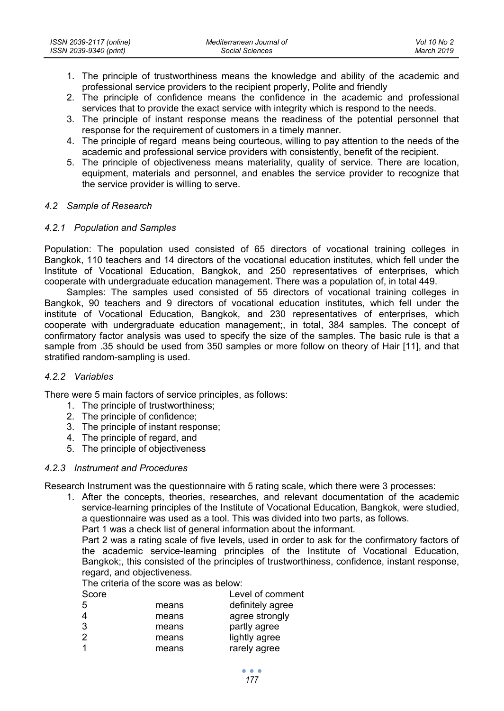- 1. The principle of trustworthiness means the knowledge and ability of the academic and professional service providers to the recipient properly, Polite and friendly
- 2. The principle of confidence means the confidence in the academic and professional services that to provide the exact service with integrity which is respond to the needs.
- 3. The principle of instant response means the readiness of the potential personnel that response for the requirement of customers in a timely manner.
- 4. The principle of regard means being courteous, willing to pay attention to the needs of the academic and professional service providers with consistently, benefit of the recipient.
- 5. The principle of objectiveness means materiality, quality of service. There are location, equipment, materials and personnel, and enables the service provider to recognize that the service provider is willing to serve.

## *4.2 Sample of Research*

# *4.2.1 Population and Samples*

Population: The population used consisted of 65 directors of vocational training colleges in Bangkok, 110 teachers and 14 directors of the vocational education institutes, which fell under the Institute of Vocational Education, Bangkok, and 250 representatives of enterprises, which cooperate with undergraduate education management. There was a population of, in total 449.

Samples: The samples used consisted of 55 directors of vocational training colleges in Bangkok, 90 teachers and 9 directors of vocational education institutes, which fell under the institute of Vocational Education, Bangkok, and 230 representatives of enterprises, which cooperate with undergraduate education management;, in total, 384 samples. The concept of confirmatory factor analysis was used to specify the size of the samples. The basic rule is that a sample from .35 should be used from 350 samples or more follow on theory of Hair [11], and that stratified random-sampling is used.

# *4.2.2 Variables*

There were 5 main factors of service principles, as follows:

- 1. The principle of trustworthiness;
- 2. The principle of confidence;
- 3. The principle of instant response;
- 4. The principle of regard, and
- 5. The principle of objectiveness

#### *4.2.3 Instrument and Procedures*

Research Instrument was the questionnaire with 5 rating scale, which there were 3 processes:

1. After the concepts, theories, researches, and relevant documentation of the academic service-learning principles of the Institute of Vocational Education, Bangkok, were studied, a questionnaire was used as a tool. This was divided into two parts, as follows.

Part 1 was a check list of general information about the informant.

Part 2 was a rating scale of five levels, used in order to ask for the confirmatory factors of the academic service-learning principles of the Institute of Vocational Education, Bangkok;, this consisted of the principles of trustworthiness, confidence, instant response, regard, and objectiveness.

The criteria of the score was as below:

| Score         |       | Level of comment |
|---------------|-------|------------------|
| 5             | means | definitely agree |
| 4             | means | agree strongly   |
| 3             | means | partly agree     |
| $\mathcal{P}$ | means | lightly agree    |
|               | means | rarely agree     |
|               |       |                  |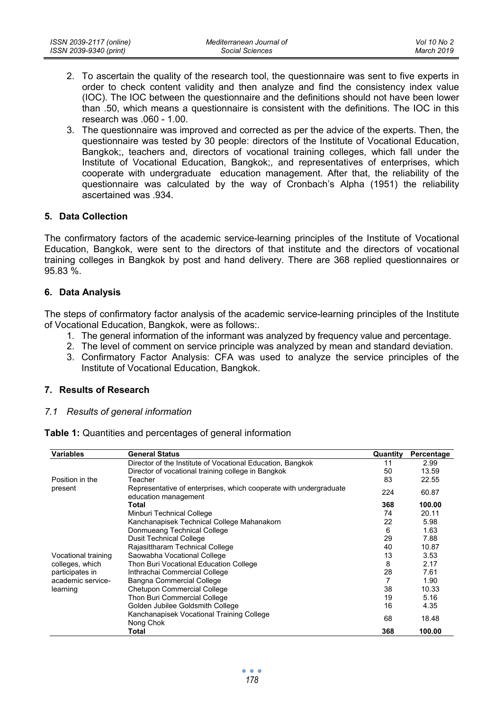- 2. To ascertain the quality of the research tool, the questionnaire was sent to five experts in order to check content validity and then analyze and find the consistency index value (IOC). The IOC between the questionnaire and the definitions should not have been lower than .50, which means a questionnaire is consistent with the definitions. The IOC in this research was  $.060 - 1.00$ .
- 3. The questionnaire was improved and corrected as per the advice of the experts. Then, the questionnaire was tested by 30 people: directors of the Institute of Vocational Education, Bangkok;, teachers and, directors of vocational training colleges, which fall under the Institute of Vocational Education, Bangkok;, and representatives of enterprises, which cooperate with undergraduate education management. After that, the reliability of the questionnaire was calculated by the way of Cronbach's Alpha (1951) the reliability ascertained was .934.

## **5. Data Collection**

The confirmatory factors of the academic service-learning principles of the Institute of Vocational Education, Bangkok, were sent to the directors of that institute and the directors of vocational training colleges in Bangkok by post and hand delivery. There are 368 replied questionnaires or 95.83 %.

## **6. Data Analysis**

The steps of confirmatory factor analysis of the academic service-learning principles of the Institute of Vocational Education, Bangkok, were as follows:.

- 1. The general information of the informant was analyzed by frequency value and percentage.
- 2. The level of comment on service principle was analyzed by mean and standard deviation.
- 3. Confirmatory Factor Analysis: CFA was used to analyze the service principles of the Institute of Vocational Education, Bangkok.

### **7. Results of Research**

#### *7.1 Results of general information*

**Table 1:** Quantities and percentages of general information

| <b>Variables</b>    | <b>General Status</b>                                                                     | Quantity | Percentage |
|---------------------|-------------------------------------------------------------------------------------------|----------|------------|
|                     | Director of the Institute of Vocational Education, Bangkok                                | 11       | 2.99       |
|                     | Director of vocational training college in Bangkok                                        | 50       | 13.59      |
| Position in the     | Teacher                                                                                   | 83       | 22.55      |
| present             | Representative of enterprises, which cooperate with undergraduate<br>education management | 224      | 60.87      |
|                     | Total                                                                                     | 368      | 100.00     |
|                     | Minburi Technical College                                                                 | 74       | 20.11      |
|                     | Kanchanapisek Technical College Mahanakorn                                                | 22       | 5.98       |
|                     | Donmueang Technical College                                                               | 6        | 1.63       |
|                     | <b>Dusit Technical College</b>                                                            | 29       | 7.88       |
|                     | Rajasittharam Technical College                                                           | 40       | 10.87      |
| Vocational training | Saowabha Vocational College                                                               | 13       | 3.53       |
| colleges, which     | Thon Buri Vocational Education College                                                    | 8        | 2.17       |
| participates in     | Inthrachai Commercial College                                                             | 28       | 7.61       |
| academic service-   | Bangna Commercial College                                                                 | 7        | 1.90       |
| learning            | <b>Chetupon Commercial College</b>                                                        | 38       | 10.33      |
|                     | Thon Buri Commercial College                                                              | 19       | 5.16       |
|                     | Golden Jubilee Goldsmith College                                                          | 16       | 4.35       |
|                     | Kanchanapisek Vocational Training College<br>Nong Chok                                    | 68       | 18.48      |
|                     | Total                                                                                     | 368      | 100.00     |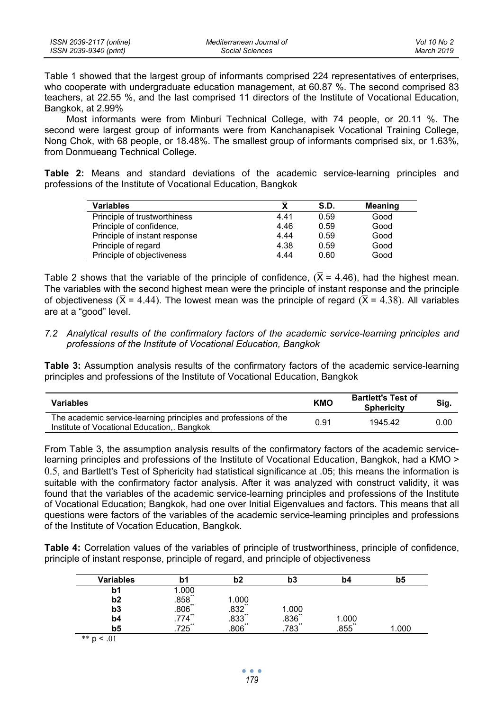| ISSN 2039-2117 (online) | Mediterranean Journal of | Vol 10 No 2 |
|-------------------------|--------------------------|-------------|
| ISSN 2039-9340 (print)  | Social Sciences          | March 2019  |

Table 1 showed that the largest group of informants comprised 224 representatives of enterprises, who cooperate with undergraduate education management, at 60.87 %. The second comprised 83 teachers, at 22.55 %, and the last comprised 11 directors of the Institute of Vocational Education, Bangkok, at 2.99%

Most informants were from Minburi Technical College, with 74 people, or 20.11 %. The second were largest group of informants were from Kanchanapisek Vocational Training College, Nong Chok, with 68 people, or 18.48%. The smallest group of informants comprised six, or 1.63%, from Donmueang Technical College.

**Table 2:** Means and standard deviations of the academic service-learning principles and professions of the Institute of Vocational Education, Bangkok

| <b>Variables</b>              | $\bar{\mathbf{x}}$ | S.D. | Meaning |
|-------------------------------|--------------------|------|---------|
| Principle of trustworthiness  | 4.41               | 0.59 | Good    |
| Principle of confidence,      | 4.46               | 0.59 | Good    |
| Principle of instant response | 4.44               | 0.59 | Good    |
| Principle of regard           | 4.38               | 0.59 | Good    |
| Principle of objectiveness    | 4.44               | 0.60 | Good    |

Table 2 shows that the variable of the principle of confidence,  $(\overline{X} = 4.46)$ , had the highest mean. The variables with the second highest mean were the principle of instant response and the principle of objectiveness ( $\overline{X} = 4.44$ ). The lowest mean was the principle of regard ( $\overline{X} = 4.38$ ). All variables are at a "good" level.

## *7.2 Analytical results of the confirmatory factors of the academic service-learning principles and professions of the Institute of Vocational Education, Bangkok*

**Table 3:** Assumption analysis results of the confirmatory factors of the academic service-learning principles and professions of the Institute of Vocational Education, Bangkok

| <b>Variables</b>                                                                                              | <b>KMO</b> | <b>Bartlett's Test of</b><br><b>Sphericity</b> | Sig. |
|---------------------------------------------------------------------------------------------------------------|------------|------------------------------------------------|------|
| The academic service-learning principles and professions of the<br>Institute of Vocational Education, Bangkok | 0.91       | 1945 42                                        | 0.00 |

From Table 3, the assumption analysis results of the confirmatory factors of the academic servicelearning principles and professions of the Institute of Vocational Education, Bangkok, had a KMO > 0.5, and Bartlett's Test of Sphericity had statistical significance at .05; this means the information is suitable with the confirmatory factor analysis. After it was analyzed with construct validity, it was found that the variables of the academic service-learning principles and professions of the Institute of Vocational Education; Bangkok, had one over Initial Eigenvalues and factors. This means that all questions were factors of the variables of the academic service-learning principles and professions of the Institute of Vocation Education, Bangkok.

**Table 4:** Correlation values of the variables of principle of trustworthiness, principle of confidence, principle of instant response, principle of regard, and principle of objectiveness

| Variables      |                     | b2                                                           | b3                    | b4                  | b5    |
|----------------|---------------------|--------------------------------------------------------------|-----------------------|---------------------|-------|
| b1             | .000                |                                                              |                       |                     |       |
| b <sub>2</sub> | $.858$ **           |                                                              |                       |                     |       |
| b3             | $.806$ <sup>"</sup> |                                                              |                       |                     |       |
| b4             | .774                |                                                              |                       | 000. ا              |       |
| b5             | 725                 | $\begin{array}{l} 1.000 \\ .832 \\ .833 \\ .806 \end{array}$ | 1.000<br>.836<br>.783 | $.855$ <sup>*</sup> | 1.000 |

 $*$  p < .01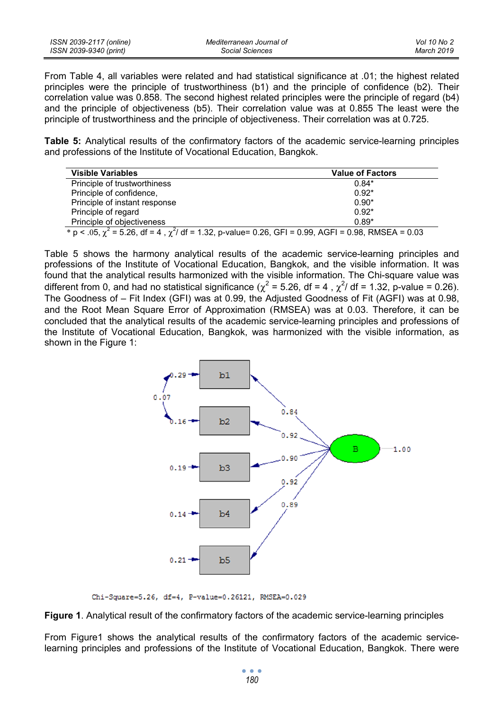| ISSN 2039-2117 (online) | Mediterranean Journal of | Vol 10 No 2 |
|-------------------------|--------------------------|-------------|
| ISSN 2039-9340 (print)  | Social Sciences          | March 2019  |

From Table 4, all variables were related and had statistical significance at .01; the highest related principles were the principle of trustworthiness (b1) and the principle of confidence (b2). Their correlation value was 0.858. The second highest related principles were the principle of regard (b4) and the principle of objectiveness (b5). Their correlation value was at 0.855 The least were the principle of trustworthiness and the principle of objectiveness. Their correlation was at 0.725.

**Table 5:** Analytical results of the confirmatory factors of the academic service-learning principles and professions of the Institute of Vocational Education, Bangkok.

| <b>Visible Variables</b>                                                                                       | <b>Value of Factors</b> |  |  |
|----------------------------------------------------------------------------------------------------------------|-------------------------|--|--|
| Principle of trustworthiness                                                                                   | $0.84*$                 |  |  |
| Principle of confidence,                                                                                       | $0.92*$                 |  |  |
| Principle of instant response                                                                                  | $0.90*$                 |  |  |
| Principle of regard                                                                                            | $0.92*$                 |  |  |
| Principle of objectiveness                                                                                     | $0.89*$                 |  |  |
| * p < .05, $\chi^2$ = 5.26, df = 4, $\chi^2$ / df = 1.32, p-value= 0.26, GFI = 0.99, AGFI = 0.98, RMSEA = 0.03 |                         |  |  |

Table 5 shows the harmony analytical results of the academic service-learning principles and professions of the Institute of Vocational Education, Bangkok, and the visible information. It was found that the analytical results harmonized with the visible information. The Chi-square value was different from 0, and had no statistical significance ( $\chi^2$  = 5.26, df = 4,  $\chi^2$ / df = 1.32, p-value = 0.26). The Goodness of – Fit Index (GFI) was at 0.99, the Adjusted Goodness of Fit (AGFI) was at 0.98, and the Root Mean Square Error of Approximation (RMSEA) was at 0.03. Therefore, it can be concluded that the analytical results of the academic service-learning principles and professions of the Institute of Vocational Education, Bangkok, was harmonized with the visible information, as shown in the Figure 1:



Chi-Square=5.26, df=4, P-value=0.26121, RMSEA=0.029

**Figure 1**. Analytical result of the confirmatory factors of the academic service-learning principles

From Figure1 shows the analytical results of the confirmatory factors of the academic servicelearning principles and professions of the Institute of Vocational Education, Bangkok. There were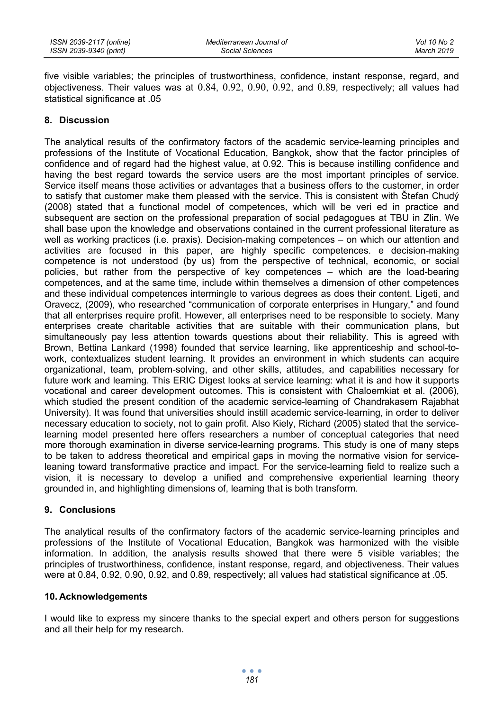five visible variables; the principles of trustworthiness, confidence, instant response, regard, and objectiveness. Their values was at 0.84, 0.92, 0.90, 0.92, and 0.89, respectively; all values had statistical significance at .05

# **8. Discussion**

The analytical results of the confirmatory factors of the academic service-learning principles and professions of the Institute of Vocational Education, Bangkok, show that the factor principles of confidence and of regard had the highest value, at 0.92. This is because instilling confidence and having the best regard towards the service users are the most important principles of service. Service itself means those activities or advantages that a business offers to the customer, in order to satisfy that customer make them pleased with the service. This is consistent with Štefan Chudý (2008) stated that a functional model of competences, which will be veri ed in practice and subsequent are section on the professional preparation of social pedagogues at TBU in Zlin. We shall base upon the knowledge and observations contained in the current professional literature as well as working practices (i.e. praxis). Decision-making competences – on which our attention and activities are focused in this paper, are highly specific competences. e decision-making competence is not understood (by us) from the perspective of technical, economic, or social policies, but rather from the perspective of key competences – which are the load-bearing competences, and at the same time, include within themselves a dimension of other competences and these individual competences intermingle to various degrees as does their content. Ligeti, and Oravecz, (2009), who researched "communication of corporate enterprises in Hungary," and found that all enterprises require profit. However, all enterprises need to be responsible to society. Many enterprises create charitable activities that are suitable with their communication plans, but simultaneously pay less attention towards questions about their reliability. This is agreed with Brown, Bettina Lankard (1998) founded that service learning, like apprenticeship and school-towork, contextualizes student learning. It provides an environment in which students can acquire organizational, team, problem-solving, and other skills, attitudes, and capabilities necessary for future work and learning. This ERIC Digest looks at service learning: what it is and how it supports vocational and career development outcomes. This is consistent with Chaloemkiat et al. (2006), which studied the present condition of the academic service-learning of Chandrakasem Rajabhat University). It was found that universities should instill academic service-learning, in order to deliver necessary education to society, not to gain profit. Also Kiely, Richard (2005) stated that the servicelearning model presented here offers researchers a number of conceptual categories that need more thorough examination in diverse service-learning programs. This study is one of many steps to be taken to address theoretical and empirical gaps in moving the normative vision for serviceleaning toward transformative practice and impact. For the service-learning field to realize such a vision, it is necessary to develop a unified and comprehensive experiential learning theory grounded in, and highlighting dimensions of, learning that is both transform.

# **9. Conclusions**

The analytical results of the confirmatory factors of the academic service-learning principles and professions of the Institute of Vocational Education, Bangkok was harmonized with the visible information. In addition, the analysis results showed that there were 5 visible variables; the principles of trustworthiness, confidence, instant response, regard, and objectiveness. Their values were at 0.84, 0.92, 0.90, 0.92, and 0.89, respectively; all values had statistical significance at .05.

# **10. Acknowledgements**

I would like to express my sincere thanks to the special expert and others person for suggestions and all their help for my research.